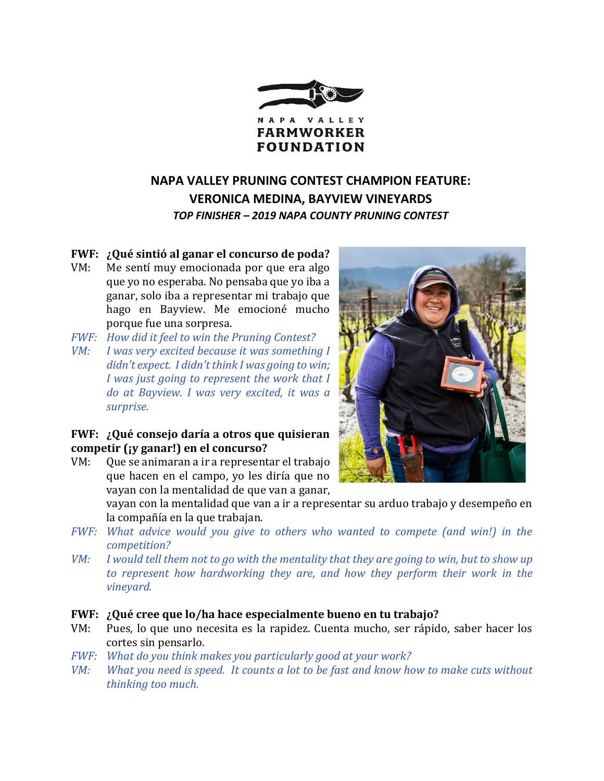

## **NAPA VALLEY PRUNING CONTEST CHAMPION FEATURE: VERONICA MEDINA, BAYVIEW VINEYARDS** *TOP FINISHER – 2019 NAPA COUNTY PRUNING CONTEST*

**FWF: ¿Qué sintió al ganar el concurso de poda?** VM: Me sentí muy emocionada por que era algo que yo no esperaba. No pensaba que yo iba a ganar, solo iba a representar mi trabajo que hago en Bayview. Me emocioné mucho porque fue una sorpresa.

- *FWF: How did it feel to win the Pruning Contest?*
- *VM: I was very excited because it was something I didn't expect. I didn't think I was going to win; I was just going to represent the work that I do at Bayview. I was very excited, it was a surprise.*

## **FWF: ¿Qué consejo daría a otros que quisieran competir (¡y ganar!) en el concurso?**

VM: Que se animaran a ir a representar el trabajo que hacen en el campo, yo les diría que no vayan con la mentalidad de que van a ganar,

> vayan con la mentalidad que van a ir a representar su arduo trabajo y desempeño en la compañía en la que trabajan.

- *FWF: What advice would you give to others who wanted to compete (and win!) in the competition?*
- *VM: I would tell them not to go with the mentality that they are going to win, but to show up to represent how hardworking they are, and how they perform their work in the vineyard.*
- **FWF: ¿Qué cree que lo/ha hace especialmente bueno en tu trabajo?**
- VM: Pues, lo que uno necesita es la rapidez. Cuenta mucho, ser rápido, saber hacer los cortes sin pensarlo.
- *FWF: What do you think makes you particularly good at your work?*
- *VM: What you need is speed. It counts a lot to be fast and know how to make cuts without thinking too much.*